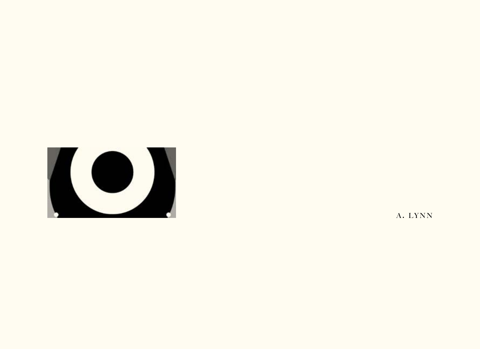

A. LYNN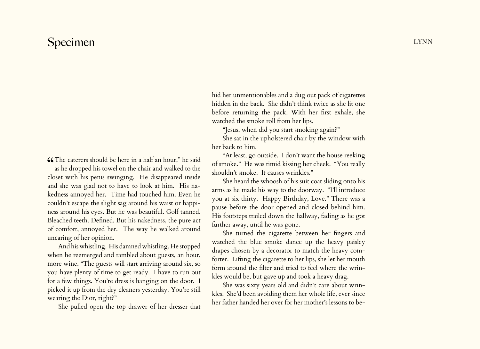## Specimen lynn

CCThe caterers should be here in a half an hour," he said<br>as he dropped his towel on the chair and walked to the as he dropped his towel on the chair and walked to the closet with his penis swinging. He disappeared inside and she was glad not to have to look at him. His nakedness annoyed her. Time had touched him. Even he couldn't escape the slight sag around his waist or happiness around his eyes. But he was beautiful. Golf tanned. Bleached teeth. Defined. But his nakedness, the pure act of comfort, annoyed her. The way he walked around uncaring of her opinion.

And his whistling. His damned whistling. He stopped when he reemerged and rambled about guests, an hour, more wine. "The guests will start arriving around six, so you have plenty of time to get ready. I have to run out for a few things. You're dress is hanging on the door. I picked it up from the dry cleaners yesterday. You're still wearing the Dior, right?"

She pulled open the top drawer of her dresser that

hid her unmentionables and a dug out pack of cigarettes hidden in the back. She didn't think twice as she lit one before returning the pack. With her first exhale, she watched the smoke roll from her lips.

"Jesus, when did you start smoking again?"

She sat in the upholstered chair by the window with her back to him.

"At least, go outside. I don't want the house reeking of smoke." He was timid kissing her cheek. "You really shouldn't smoke. It causes wrinkles."

She heard the whoosh of his suit coat sliding onto his arms as he made his way to the doorway. "I'll introduce you at six thirty. Happy Birthday, Love." There was a pause before the door opened and closed behind him. His footsteps trailed down the hallway, fading as he got further away, until he was gone.

She turned the cigarette between her fingers and watched the blue smoke dance up the heavy paisley drapes chosen by a decorator to match the heavy comforter. Lifting the cigarette to her lips, she let her mouth form around the filter and tried to feel where the wrinkles would be, but gave up and took a heavy drag.

She was sixty years old and didn't care about wrinkles. She'd been avoiding them her whole life, ever since her father handed her over for her mother's lessons to be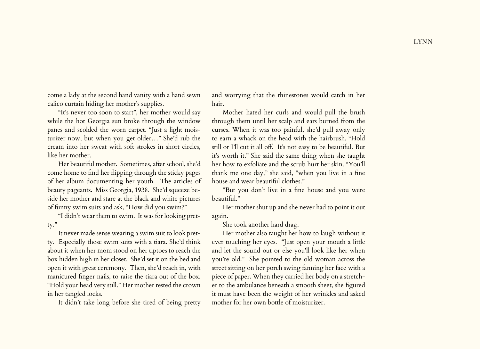come a lady at the second hand vanity with a hand sewn calico curtain hiding her mother's supplies.

"It's never too soon to start", her mother would say while the hot Georgia sun broke through the window panes and scolded the worn carpet. "Just a light moisturizer now, but when you get older…" She'd rub the cream into her sweat with soft strokes in short circles, like her mother.

Her beautiful mother. Sometimes, after school, she'd come home to find her flipping through the sticky pages of her album documenting her youth. The articles of beauty pageants. Miss Georgia, 1938. She'd squeeze beside her mother and stare at the black and white pictures of funny swim suits and ask, "How did you swim?"

"I didn't wear them to swim. It was for looking pretty."

It never made sense wearing a swim suit to look pretty. Especially those swim suits with a tiara. She'd think about it when her mom stood on her tiptoes to reach the box hidden high in her closet. She'd set it on the bed and open it with great ceremony. Then, she'd reach in, with manicured finger nails, to raise the tiara out of the box. "Hold your head very still." Her mother rested the crown in her tangled locks.

It didn't take long before she tired of being pretty

and worrying that the rhinestones would catch in her hair.

Mother hated her curls and would pull the brush through them until her scalp and ears burned from the curses. When it was too painful, she'd pull away only to earn a whack on the head with the hairbrush. "Hold still or I'll cut it all off. It's not easy to be beautiful. But it's worth it." She said the same thing when she taught her how to exfoliate and the scrub hurt her skin. "You'll thank me one day," she said, "when you live in a fine house and wear beautiful clothes."

"But you don't live in a fine house and you were beautiful."

Her mother shut up and she never had to point it out again.

She took another hard drag.

Her mother also taught her how to laugh without it ever touching her eyes. "Just open your mouth a little and let the sound out or else you'll look like her when you're old." She pointed to the old woman across the street sitting on her porch swing fanning her face with a piece of paper. When they carried her body on a stretcher to the ambulance beneath a smooth sheet, she figured it must have been the weight of her wrinkles and asked mother for her own bottle of moisturizer.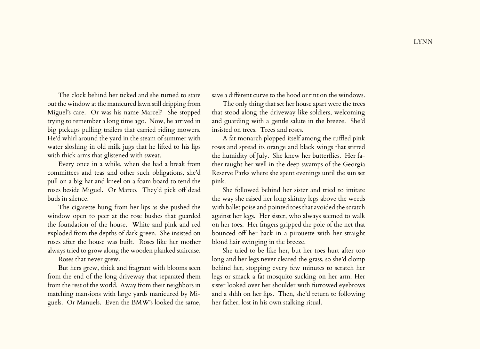The clock behind her ticked and she turned to stare out the window at the manicured lawn still dripping from Miguel's care. Or was his name Marcel? She stopped trying to remember a long time ago. Now, he arrived in big pickups pulling trailers that carried riding mowers. He'd whirl around the yard in the steam of summer with water sloshing in old milk jugs that he lifted to his lips with thick arms that glistened with sweat.

Every once in a while, when she had a break from committees and teas and other such obligations, she'd pull on a big hat and kneel on a foam board to tend the roses beside Miguel. Or Marco. They'd pick off dead buds in silence.

The cigarette hung from her lips as she pushed the window open to peer at the rose bushes that guarded the foundation of the house. White and pink and red exploded from the depths of dark green. She insisted on roses after the house was built. Roses like her mother always tried to grow along the wooden planked staircase.

Roses that never grew.

But hers grew, thick and fragrant with blooms seen from the end of the long driveway that separated them from the rest of the world. Away from their neighbors in matching mansions with large yards manicured by Miguels. Or Manuels. Even the BMW's looked the same,

save a different curve to the hood or tint on the windows.

The only thing that set her house apart were the trees that stood along the driveway like soldiers, welcoming and guarding with a gentle salute in the breeze. She'd insisted on trees. Trees and roses.

A fat monarch plopped itself among the ruffled pink roses and spread its orange and black wings that stirred the humidity of July. She knew her butterflies. Her father taught her well in the deep swamps of the Georgia Reserve Parks where she spent evenings until the sun set pink.

She followed behind her sister and tried to imitate the way she raised her long skinny legs above the weeds with ballet poise and pointed toes that avoided the scratch against her legs. Her sister, who always seemed to walk on her toes. Her fingers gripped the pole of the net that bounced off her back in a pirouette with her straight blond hair swinging in the breeze.

She tried to be like her, but her toes hurt after too long and her legs never cleared the grass, so she'd clomp behind her, stopping every few minutes to scratch her legs or smack a fat mosquito sucking on her arm. Her sister looked over her shoulder with furrowed eyebrows and a shhh on her lips. Then, she'd return to following her father, lost in his own stalking ritual.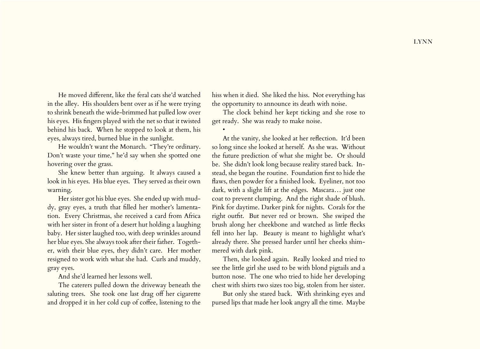He moved different, like the feral cats she'd watched in the alley. His shoulders bent over as if he were trying to shrink beneath the wide-brimmed hat pulled low over his eyes. His fingers played with the net so that it twisted behind his back. When he stopped to look at them, his eyes, always tired, burned blue in the sunlight.

He wouldn't want the Monarch. "They're ordinary. Don't waste your time," he'd say when she spotted one hovering over the grass.

She knew better than arguing. It always caused a look in his eyes. His blue eyes. They served as their own warning.

Her sister got his blue eyes. She ended up with muddy, gray eyes, a truth that filled her mother's lamentation. Every Christmas, she received a card from Africa with her sister in front of a desert hut holding a laughing baby. Her sister laughed too, with deep wrinkles around her blue eyes. She always took after their father. Together, with their blue eyes, they didn't care. Her mother resigned to work with what she had. Curls and muddy, gray eyes.

And she'd learned her lessons well.

The caterers pulled down the driveway beneath the saluting trees. She took one last drag off her cigarette and dropped it in her cold cup of coffee, listening to the hiss when it died. She liked the hiss. Not everything has the opportunity to announce its death with noise.

The clock behind her kept ticking and she rose to get ready. She was ready to make noise.

•

At the vanity, she looked at her reflection. It'd been so long since she looked at herself. As she was. Without the future prediction of what she might be. Or should be. She didn't look long because reality stared back. Instead, she began the routine. Foundation first to hide the flaws, then powder for a finished look. Eyeliner, not too dark, with a slight lift at the edges. Mascara… just one coat to prevent clumping. And the right shade of blush. Pink for daytime. Darker pink for nights. Corals for the right outfit. But never red or brown. She swiped the brush along her cheekbone and watched as little flecks fell into her lap. Beauty is meant to highlight what's already there. She pressed harder until her cheeks shimmered with dark pink.

Then, she looked again. Really looked and tried to see the little girl she used to be with blond pigtails and a button nose. The one who tried to hide her developing chest with shirts two sizes too big, stolen from her sister.

But only she stared back. With shrinking eyes and pursed lips that made her look angry all the time. Maybe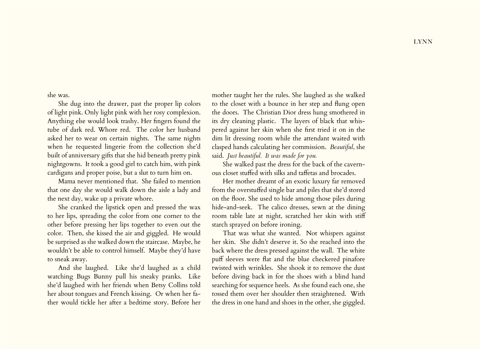she was.

She dug into the drawer, past the proper lip colors of light pink. Only light pink with her rosy complexion. Anything else would look trashy. Her fingers found the tube of dark red. Whore red. The color her husband asked her to wear on certain nights. The same nights when he requested lingerie from the collection she'd built of anniversary gifts that she hid beneath pretty pink nightgowns. It took a good girl to catch him, with pink cardigans and proper poise, but a slut to turn him on.

Mama never mentioned that. She failed to mention that one day she would walk down the aisle a lady and the next day, wake up a private whore.

She cranked the lipstick open and pressed the wax to her lips, spreading the color from one corner to the other before pressing her lips together to even out the color. Then, she kissed the air and giggled. He would be surprised as she walked down the staircase. Maybe, he wouldn't be able to control himself. Maybe they'd have to sneak away.

And she laughed. Like she'd laughed as a child watching Bugs Bunny pull his sneaky pranks. Like she'd laughed with her friends when Betsy Collins told her about tongues and French kissing. Or when her father would tickle her after a bedtime story. Before her mother taught her the rules. She laughed as she walked to the closet with a bounce in her step and flung open the doors. The Christian Dior dress hung smothered in its dry cleaning plastic. The layers of black that whispered against her skin when she first tried it on in the dim lit dressing room while the attendant waited with clasped hands calculating her commission. *Beautiful*, she said. *Just beautiful. It was made for you.* 

She walked past the dress for the back of the cavernous closet stuffed with silks and taffetas and brocades.

Her mother dreamt of an exotic luxury far removed from the overstuffed single bar and piles that she'd stored on the floor. She used to hide among those piles during hide-and-seek. The calico dresses, sewn at the dining room table late at night, scratched her skin with stiff starch sprayed on before ironing.

That was what she wanted. Not whispers against her skin. She didn't deserve it. So she reached into the back where the dress pressed against the wall. The white puff sleeves were flat and the blue checkered pinafore twisted with wrinkles. She shook it to remove the dust before diving back in for the shoes with a blind hand searching for sequence heels. As she found each one, she tossed them over her shoulder then straightened. With the dress in one hand and shoes in the other, she giggled.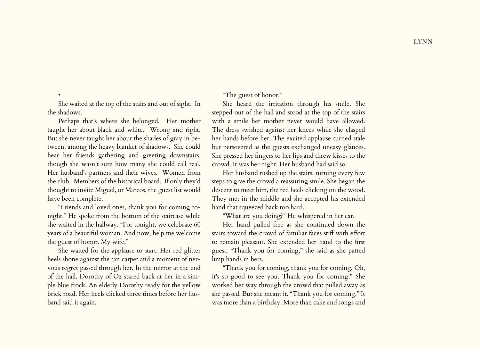She waited at the top of the stairs and out of sight. In the shadows.

Perhaps that's where she belonged. Her mother taught her about black and white. Wrong and right. But she never taught her about the shades of gray in between, among the heavy blanket of shadows. She could hear her friends gathering and greeting downstairs, though she wasn't sure how many she could call real. Her husband's partners and their wives. Women from the club. Members of the historical board. If only they'd thought to invite Miguel, or Marcos, the guest list would have been complete.

"Friends and loved ones, thank you for coming tonight." He spoke from the bottom of the staircase while she waited in the hallway. "For tonight, we celebrate 60 years of a beautiful woman. And now, help me welcome the guest of honor. My wife."

She waited for the applause to start. Her red glitter heels shone against the tan carpet and a moment of nervous regret passed through her. In the mirror at the end of the hall, Dorothy of Oz stared back at her in a simple blue frock. An elderly Dorothy ready for the yellow brick road. Her heels clicked three times before her husband said it again.

"The guest of honor."

She heard the irritation through his smile. She stepped out of the hall and stood at the top of the stairs with a smile her mother never would have allowed. The dress swished against her knees while she clasped her hands before her. The excited applause turned stale but persevered as the guests exchanged uneasy glances. She pressed her fingers to her lips and threw kisses to the crowd. It was her night. Her husband had said so.

Her husband rushed up the stairs, turning every few steps to give the crowd a reassuring smile. She began the descent to meet him, the red heels clicking on the wood. They met in the middle and she accepted his extended hand that squeezed back too hard.

"What are you doing?" He whispered in her ear.

Her hand pulled free as she continued down the stairs toward the crowd of familiar faces stiff with effort to remain pleasant. She extended her hand to the first guest. "Thank you for coming," she said as she patted limp hands in hers.

"Thank you for coming, thank you for coming. Oh, it's so good to see you. Thank you for coming." She worked her way through the crowd that pulled away as she passed. But she meant it. "Thank you for coming." It was more than a birthday. More than cake and songs and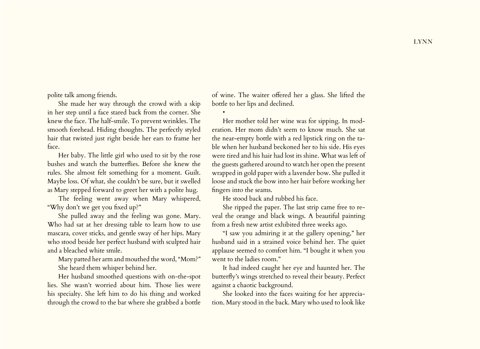polite talk among friends.

She made her way through the crowd with a skip in her step until a face stared back from the corner. She knew the face. The half-smile. To prevent wrinkles. The smooth forehead. Hiding thoughts. The perfectly styled hair that twisted just right beside her ears to frame her face.

Her baby. The little girl who used to sit by the rose bushes and watch the butterflies. Before she knew the rules. She almost felt something for a moment. Guilt. Maybe loss. Of what, she couldn't be sure, but it swelled as Mary stepped forward to greet her with a polite hug.

The feeling went away when Mary whispered, "Why don't we get you fixed up?"

She pulled away and the feeling was gone. Mary. Who had sat at her dressing table to learn how to use mascara, cover sticks, and gentle sway of her hips. Mary who stood beside her perfect husband with sculpted hair and a bleached white smile.

Mary patted her arm and mouthed the word, "Mom?" She heard them whisper behind her.

Her husband smoothed questions with on-the-spot lies. She wasn't worried about him. Those lies were his specialty. She left him to do his thing and worked through the crowd to the bar where she grabbed a bottle of wine. The waiter offered her a glass. She lifted the bottle to her lips and declined.

Her mother told her wine was for sipping. In moderation. Her mom didn't seem to know much. She sat the near-empty bottle with a red lipstick ring on the table when her husband beckoned her to his side. His eyes were tired and his hair had lost its shine. What was left of the guests gathered around to watch her open the present wrapped in gold paper with a lavender bow. She pulled it loose and stuck the bow into her hair before working her fingers into the seams.

He stood back and rubbed his face.

•

She ripped the paper. The last strip came free to reveal the orange and black wings. A beautiful painting from a fresh new artist exhibited three weeks ago.

"I saw you admiring it at the gallery opening," her husband said in a strained voice behind her. The quiet applause seemed to comfort him. "I bought it when you went to the ladies room."

It had indeed caught her eye and haunted her. The butterfly's wings stretched to reveal their beauty. Perfect against a chaotic background.

She looked into the faces waiting for her appreciation. Mary stood in the back. Mary who used to look like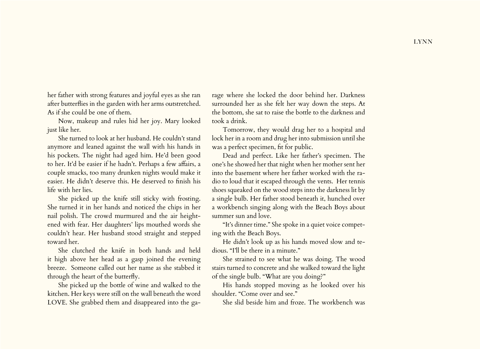her father with strong features and joyful eyes as she ran after butterflies in the garden with her arms outstretched. As if she could be one of them.

Now, makeup and rules hid her joy. Mary looked just like her.

She turned to look at her husband. He couldn't stand anymore and leaned against the wall with his hands in his pockets. The night had aged him. He'd been good to her. It'd be easier if he hadn't. Perhaps a few affairs, a couple smacks, too many drunken nights would make it easier. He didn't deserve this. He deserved to finish his life with her lies.

She picked up the knife still sticky with frosting. She turned it in her hands and noticed the chips in her nail polish. The crowd murmured and the air heightened with fear. Her daughters' lips mouthed words she couldn't hear. Her husband stood straight and stepped toward her.

She clutched the knife in both hands and held it high above her head as a gasp joined the evening breeze. Someone called out her name as she stabbed it through the heart of the butterfly.

She picked up the bottle of wine and walked to the kitchen. Her keys were still on the wall beneath the word LOVE. She grabbed them and disappeared into the ga-

rage where she locked the door behind her. Darkness surrounded her as she felt her way down the steps. At the bottom, she sat to raise the bottle to the darkness and took a drink.

Tomorrow, they would drag her to a hospital and lock her in a room and drug her into submission until she was a perfect specimen, fit for public.

Dead and perfect. Like her father's specimen. The one's he showed her that night when her mother sent her into the basement where her father worked with the radio to loud that it escaped through the vents. Her tennis shoes squeaked on the wood steps into the darkness lit by a single bulb. Her father stood beneath it, hunched over a workbench singing along with the Beach Boys about summer sun and love.

"It's dinner time." She spoke in a quiet voice competing with the Beach Boys.

He didn't look up as his hands moved slow and tedious. "I'll be there in a minute."

She strained to see what he was doing. The wood stairs turned to concrete and she walked toward the light of the single bulb. "What are you doing?"

His hands stopped moving as he looked over his shoulder. "Come over and see."

She slid beside him and froze. The workbench was